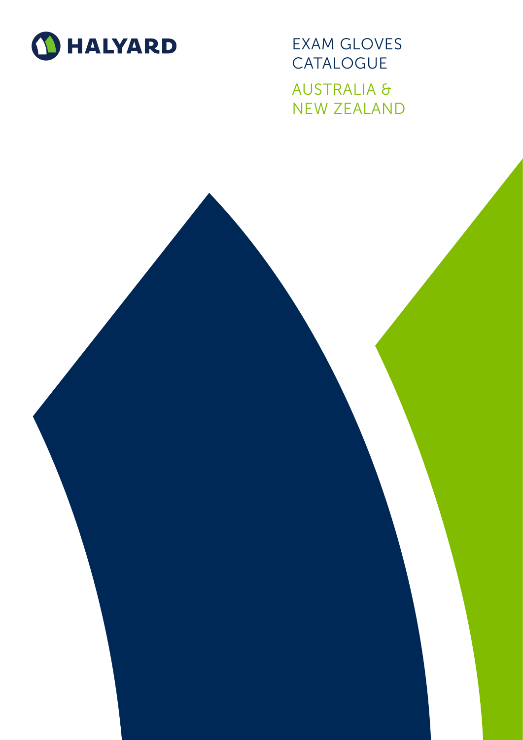

EXAM GLOVES CATALOGUE AUSTRALIA & NEW ZEALAND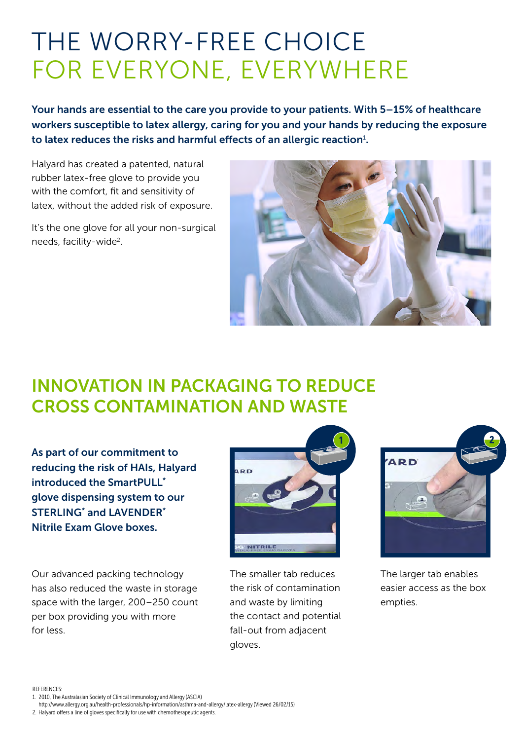# THE WORRY-FREE CHOICE FOR EVERYONE, EVERYWHERE

Your hands are essential to the care you provide to your patients. With 5–15% of healthcare workers susceptible to latex allergy, caring for you and your hands by reducing the exposure to latex reduces the risks and harmful effects of an allergic reaction<sup>1</sup>.

Halyard has created a patented, natural rubber latex-free glove to provide you with the comfort, fit and sensitivity of latex, without the added risk of exposure.

It's the one glove for all your non-surgical needs, facility-wide<sup>2</sup>.



### INNOVATION IN PACKAGING TO REDUCE CROSS CONTAMINATION AND WASTE

As part of our commitment to reducing the risk of HAIs, Halyard introduced the SmartPULL\* glove dispensing system to our STERLING<sup>\*</sup> and LAVENDER<sup>\*</sup> Nitrile Exam Glove boxes.

Our advanced packing technology has also reduced the waste in storage space with the larger, 200–250 count per box providing you with more for less.



The smaller tab reduces the risk of contamination and waste by limiting the contact and potential fall-out from adjacent gloves.



The larger tab enables easier access as the box empties.

REFERENCES:

http://www.allergy.org.au/health-professionals/hp-information/asthma-and-allergy/latex-allergy (Viewed 26/02/15)

2. Halyard offers a line of gloves specifically for use with chemotherapeutic agents.

<sup>1.</sup> 2010, The Australasian Society of Clinical Immunology and Allergy (ASCIA)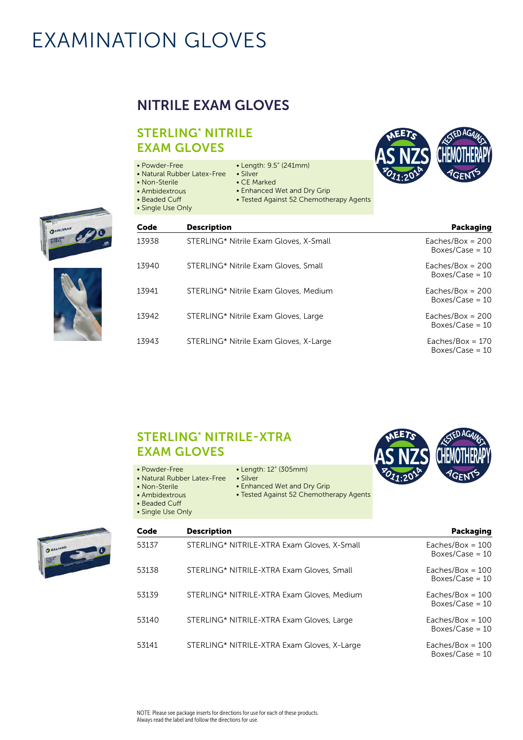### NITRILE EXAM GLOVES

#### STERLING\* NITRILE EXAM GLOVES

- Powder-Free
- Natural Rubber Latex-Free Silver
- Non-Sterile
- CE Marked
	- Enhanced Wet and Dry Grip

• Length: 9.5" (241mm)

- Tested Against 52 Chemotherapy Agents
- Beaded Cuff • Single Use Only
- 

• Ambidextrous







| Packaging                               | <b>Description</b>                     | Code  |
|-----------------------------------------|----------------------------------------|-------|
| Eaches/Box = $200$<br>Boxes/Case = $10$ | STERLING* Nitrile Exam Gloves, X-Small | 13938 |
| Eaches/Box = $200$<br>Boxes/Case = $10$ | STERLING* Nitrile Exam Gloves, Small   | 13940 |
| Eaches/Box = $200$<br>Boxes/Case = $10$ | STERLING* Nitrile Exam Gloves, Medium  | 13941 |
| Eaches/Box = $200$<br>Boxes/Case = $10$ | STERLING* Nitrile Exam Gloves, Large   | 13942 |
| Eaches/Box = $170$<br>Boxes/Case = $10$ | STERLING* Nitrile Exam Gloves, X-Large | 13943 |

#### STERLING\* NITRILE-XTRA EXAM GLOVES

- Powder-Free
- Length: 12" (305mm)
- Natural Rubber Latex-Free Silver • Non-Sterile
	-
	- Enhanced Wet and Dry Grip
	- Tested Against 52 Chemotherapy Agents
- Ambidextrous • Beaded Cuff
- Single Use Only





| Code  | <b>Description</b>                          | Packaging                               |
|-------|---------------------------------------------|-----------------------------------------|
| 53137 | STERLING* NITRILE-XTRA Exam Gloves, X-Small | Eaches/Box = $100$<br>Boxes/Case = $10$ |
| 53138 | STERLING* NITRILE-XTRA Exam Gloves, Small   | Eaches/Box = $100$<br>Boxes/Case = $10$ |
| 53139 | STERLING* NITRILE-XTRA Exam Gloves, Medium  | Eaches/Box = $100$<br>Boxes/Case = $10$ |
| 53140 | STERLING* NITRILE-XTRA Exam Gloves, Large   | Eaches/Box = $100$<br>Boxes/Case = $10$ |
| 53141 | STERLING* NITRILE-XTRA Exam Gloves, X-Large | Eaches/Box = $100$<br>Boxes/Case = $10$ |

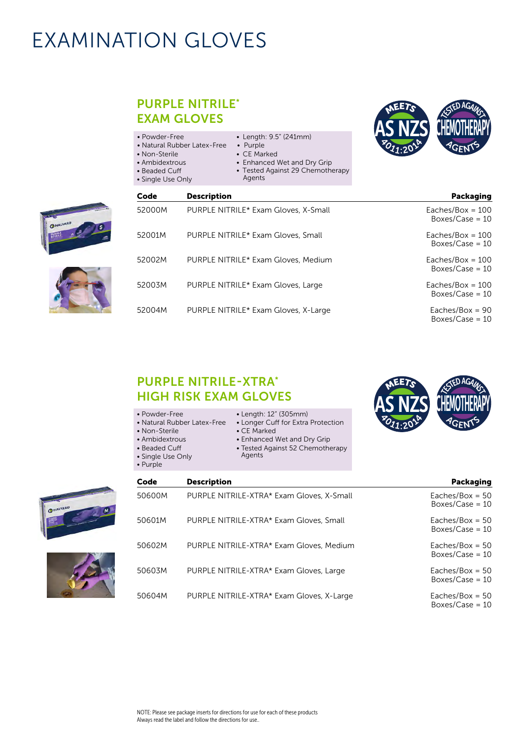PURPLE NITRILE\*

|                                         |                                                                                                                                | <b>EXAM GLOVES</b>                                                                                                    |
|-----------------------------------------|--------------------------------------------------------------------------------------------------------------------------------|-----------------------------------------------------------------------------------------------------------------------|
|                                         | • Length: 9.5" (241mm)<br>• Purple<br>• CE Marked<br>• Enhanced Wet and Dry Grip<br>• Tested Against 29 Chemotherapy<br>Agents | • Powder-Free<br>• Natural Rubber Latex-Free<br>• Non-Sterile<br>• Ambidextrous<br>• Beaded Cuff<br>• Single Use Only |
| Packaging                               |                                                                                                                                | Code<br><b>Description</b>                                                                                            |
| Eaches/Box = $100$<br>Boxes/Case = $10$ | PURPLE NITRILE* Exam Gloves, X-Small                                                                                           | 52000M                                                                                                                |
| Eaches/Box = $100$<br>Boxes/Case = $10$ | PURPLE NITRILE* Exam Gloves, Small                                                                                             | 52001M                                                                                                                |
| Eaches/Box = $100$<br>Boxes/Case = $10$ | PURPLE NITRILE* Exam Gloves, Medium                                                                                            | 52002M                                                                                                                |
| Eaches/Box = $100$<br>Boxes/Case = $10$ | PURPLE NITRILE* Exam Gloves, Large                                                                                             | 52003M                                                                                                                |
| Eaches/Box = $90$                       | PURPLE NITRILE* Exam Gloves, X-Large                                                                                           | 52004M                                                                                                                |



- 
- Length: 12" (305mm)
- Natural Rubber Latex-Free Longer Cuff for Extra Protection

• Enhanced Wet and Dry Grip • Tested Against 52 Chemotherapy

• CE Marked

Agents

- Non-Sterile • Ambidextrous
	-
- Beaded Cuff
- Single Use Only
- Purple



Boxes/Case = 10

| Code   | <b>Description</b>                        | <b>Packaging</b>                       |
|--------|-------------------------------------------|----------------------------------------|
| 50600M | PURPLE NITRILE-XTRA* Exam Gloves, X-Small | Eaches/Box = $50$<br>Boxes/Case = $10$ |
| 50601M | PURPLE NITRILE-XTRA* Exam Gloves, Small   | Eaches/Box = $50$<br>Boxes/Case = $10$ |
| 50602M | PURPLE NITRILE-XTRA* Exam Gloves, Medium  | Eaches/Box = $50$<br>Boxes/Case = $10$ |
| 50603M | PURPLE NITRILE-XTRA* Exam Gloves, Large   | Eaches/Box = $50$<br>Boxes/Case = $10$ |
| 50604M | PURPLE NITRILE-XTRA* Exam Gloves, X-Large | Eaches/Box = $50$<br>Boxes/Case = $10$ |







| <b>HIGH RISK EXAM GLOVI</b> |                       |
|-----------------------------|-----------------------|
| • Powder-Free               | $\bullet$ Length: 12" |
| • Natural Rubber Latex-Free | • Longer Cuff         |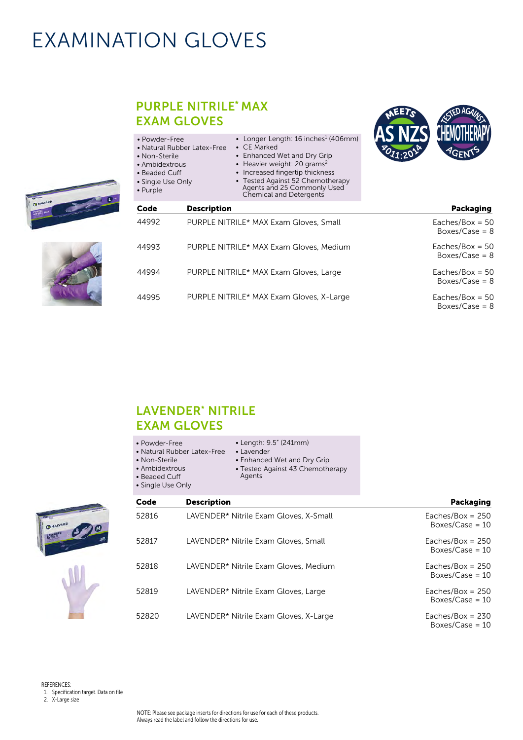#### PURPLE NITRILE\* MAX EXAM GLOVES

| • Powder-Free<br>• Non-Sterile<br>• Ambidextrous<br>$\bullet$ Beaded Cuff<br>• Single Use Only<br>• Purple | • Longer Length: $16$ inches <sup>1</sup> (406mm)<br>$\bullet$ CE Marked<br>• Natural Rubber Latex-Free<br>• Enhanced Wet and Dry Grip<br>• Heavier weight: 20 grams <sup>2</sup><br>• Increased fingertip thickness<br>• Tested Against 52 Chemotherapy<br>Agents and 25 Commonly Used<br><b>Chemical and Detergents</b> |  |
|------------------------------------------------------------------------------------------------------------|---------------------------------------------------------------------------------------------------------------------------------------------------------------------------------------------------------------------------------------------------------------------------------------------------------------------------|--|
| Code                                                                                                       | <b>Description</b>                                                                                                                                                                                                                                                                                                        |  |
| 44992                                                                                                      | PURPLE NITRILE* MAX Exam Gloves, Small                                                                                                                                                                                                                                                                                    |  |
| 44993                                                                                                      | PURPLE NITRILE* MAX Exam Gloves, Medium                                                                                                                                                                                                                                                                                   |  |
| 44994                                                                                                      | PURPLE NITRILE* MAX Exam Gloves, Large                                                                                                                                                                                                                                                                                    |  |
| 44995                                                                                                      | PURPLE NITRILE* MAX Exam Gloves, X-Large                                                                                                                                                                                                                                                                                  |  |



- Powder-Free
- Natural Rubber Latex-Free Lavender
- Non-Sterile
- Ambidextrous
- Length: 9.5" (241mm)
- 
- 
- Beaded Cuff
- Single Use Only
- Enhanced Wet and Dry Grip • Tested Against 43 Chemotherapy Agents



| Code  | <b>Description</b>                     | Packaging                               |
|-------|----------------------------------------|-----------------------------------------|
| 52816 | LAVENDER* Nitrile Exam Gloves, X-Small | Eaches/Box = $250$<br>Boxes/Case = $10$ |
| 52817 | LAVENDER* Nitrile Exam Gloves, Small   | Eaches/Box = $250$<br>Boxes/Case = $10$ |
| 52818 | LAVENDER* Nitrile Exam Gloves, Medium  | Eaches/Box = $250$<br>Boxes/Case = $10$ |
| 52819 | LAVENDER* Nitrile Exam Gloves, Large   | Eaches/Box = $250$<br>Boxes/Case = $10$ |
| 52820 | LAVENDER* Nitrile Exam Gloves, X-Large | Eaches/Box = $230$<br>Boxes/Case = $10$ |

REFERENCES: 1. Specification target. Data on file 2. X-Large size



| $Eaches/Box = 50$<br>Boxes/Case = $8$ |
|---------------------------------------|
| Eaches/Box = $50$                     |

Boxes/Case = 8

Packaging

Eaches/Box = 50 Boxes/Case =  $8$ 

Eaches/Box = 50  $Box/Case = 8$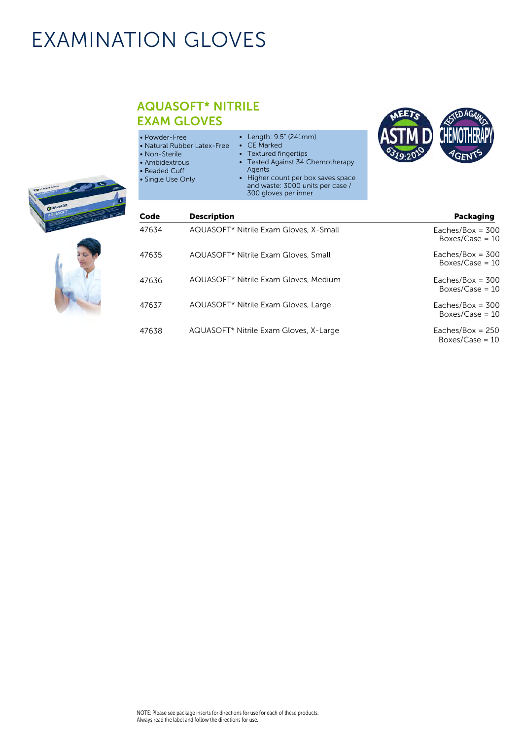#### AQUASOFT\* NITRILE EXAM GLOVES

| • Powder-Free<br>• Natural Rubber Latex-Free<br>• Non-Sterile<br>• Ambidextrous<br>• Beaded Cuff<br>• Single Use Only | • Length: $9.5$ " (241mm)<br>• CE Marked<br>Textured fingertips<br>Tested Against 34 Chemotherapy<br>Agents<br>• Higher count per box saves space<br>and waste: 3000 units per case / | CHEMOTHERAPY<br><b>AGENTS</b> |
|-----------------------------------------------------------------------------------------------------------------------|---------------------------------------------------------------------------------------------------------------------------------------------------------------------------------------|-------------------------------|
|                                                                                                                       | 300 gloves per inner                                                                                                                                                                  |                               |





| Code  | <b>Description</b>                     | Packaging                               |
|-------|----------------------------------------|-----------------------------------------|
| 47634 | AQUASOFT* Nitrile Exam Gloves, X-Small | Eaches/Box = $300$<br>Boxes/Case = $10$ |
| 47635 | AQUASOFT* Nitrile Exam Gloves, Small   | Eaches/Box = $300$<br>Boxes/Case = $10$ |
| 47636 | AQUASOFT* Nitrile Exam Gloves, Medium  | Eaches/Box = $300$<br>Boxes/Case = $10$ |
| 47637 | AQUASOFT* Nitrile Exam Gloves, Large   | Eaches/Box = $300$<br>Boxes/Case = $10$ |
| 47638 | AQUASOFT* Nitrile Exam Gloves, X-Large | Eaches/Box = $250$<br>Boxes/Case = $10$ |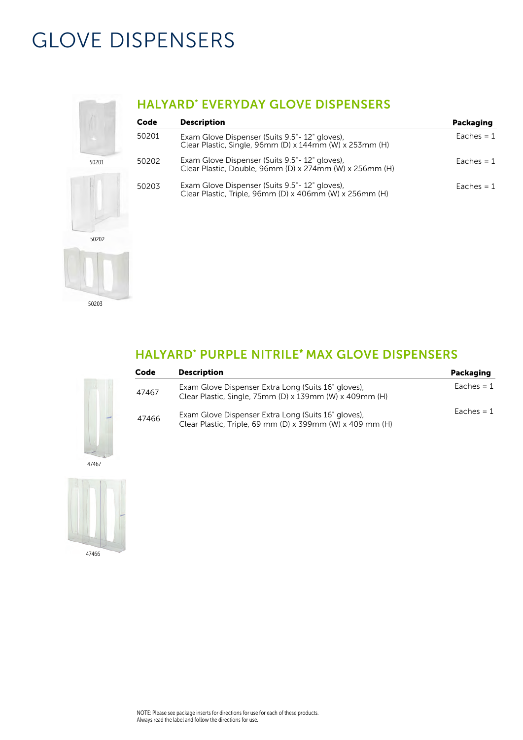## GLOVE DISPENSERS



### HALYARD\* EVERYDAY GLOVE DISPENSERS

| Code  | <b>Description</b>                                                                                         | Packaging    |
|-------|------------------------------------------------------------------------------------------------------------|--------------|
| 50201 | Exam Glove Dispenser (Suits 9.5" - 12" gloves),<br>Clear Plastic, Single, 96mm (D) x 144mm (W) x 253mm (H) | Eaches $= 1$ |
| 50202 | Exam Glove Dispenser (Suits 9.5" - 12" gloves),<br>Clear Plastic, Double, 96mm (D) x 274mm (W) x 256mm (H) | Eaches $= 1$ |
| 50203 | Exam Glove Dispenser (Suits 9.5" - 12" gloves),<br>Clear Plastic, Triple, 96mm (D) x 406mm (W) x 256mm (H) | Eaches $= 1$ |

### HALYARD\* PURPLE NITRILE\* MAX GLOVE DISPENSERS

| Code  | <b>Description</b>                                                                                               | Packaging    |
|-------|------------------------------------------------------------------------------------------------------------------|--------------|
| 47467 | Exam Glove Dispenser Extra Long (Suits 16" gloves),<br>Clear Plastic, Single, 75mm (D) x 139mm (W) x 409mm (H)   | Eaches $= 1$ |
| 47466 | Exam Glove Dispenser Extra Long (Suits 16" gloves),<br>Clear Plastic, Triple, 69 mm (D) x 399mm (W) x 409 mm (H) | Eaches $= 1$ |